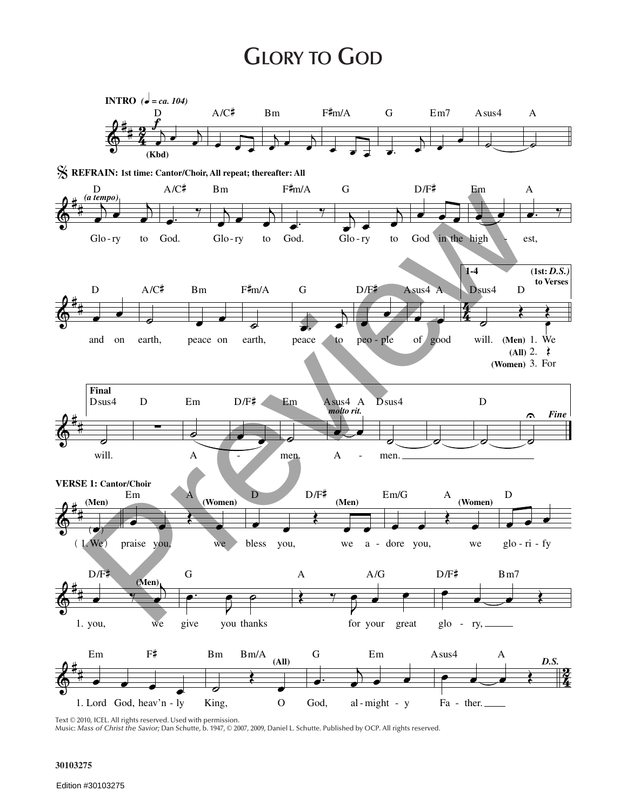## **GLORY TO GOD**



Text © 2010, ICEL. All rights reserved. Used with permission.<br>Music: Mass of Christ the Savior; Dan Schutte, b. 1947, © 2007, 2009, Daniel L. Schutte. Published by OCP. All rights reserved.

## 30103275

Edition #30103275